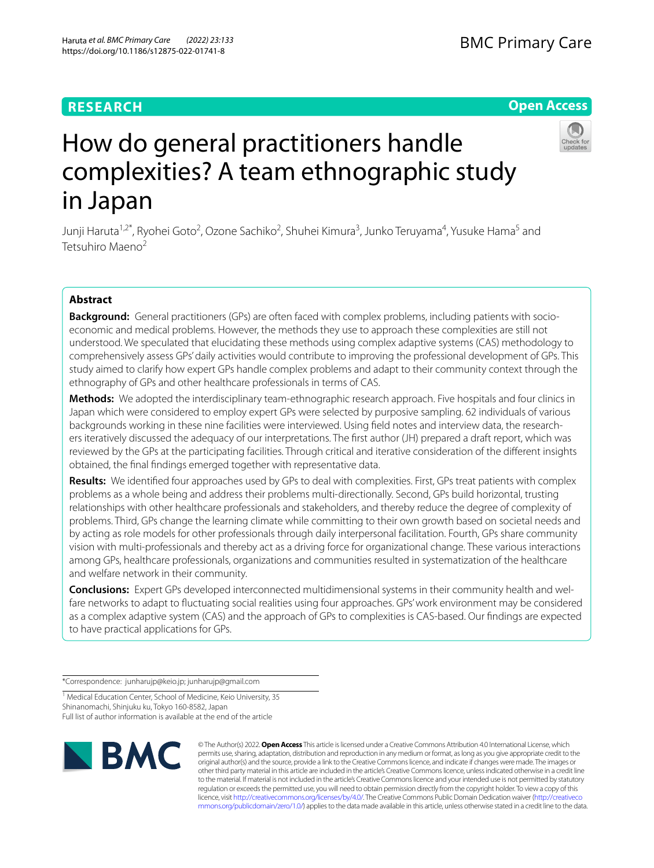Haruta *et al. BMC Primary Care (2022) 23:133*  https://doi.org/10.1186/s12875-022-01741-8

# **RESEARCH**

# **Open Access**



# How do general practitioners handle complexities? A team ethnographic study in Japan

Junji Haruta<sup>1,2\*</sup>, Ryohei Goto<sup>2</sup>, Ozone Sachiko<sup>2</sup>, Shuhei Kimura<sup>3</sup>, Junko Teruyama<sup>4</sup>, Yusuke Hama<sup>5</sup> and Tetsuhiro Maeno2

## **Abstract**

**Background:** General practitioners (GPs) are often faced with complex problems, including patients with socioeconomic and medical problems. However, the methods they use to approach these complexities are still not understood. We speculated that elucidating these methods using complex adaptive systems (CAS) methodology to comprehensively assess GPs' daily activities would contribute to improving the professional development of GPs. This study aimed to clarify how expert GPs handle complex problems and adapt to their community context through the ethnography of GPs and other healthcare professionals in terms of CAS.

**Methods:** We adopted the interdisciplinary team-ethnographic research approach. Five hospitals and four clinics in Japan which were considered to employ expert GPs were selected by purposive sampling. 62 individuals of various backgrounds working in these nine facilities were interviewed. Using feld notes and interview data, the researchers iteratively discussed the adequacy of our interpretations. The frst author (JH) prepared a draft report, which was reviewed by the GPs at the participating facilities. Through critical and iterative consideration of the diferent insights obtained, the fnal fndings emerged together with representative data.

**Results:** We identifed four approaches used by GPs to deal with complexities. First, GPs treat patients with complex problems as a whole being and address their problems multi-directionally. Second, GPs build horizontal, trusting relationships with other healthcare professionals and stakeholders, and thereby reduce the degree of complexity of problems. Third, GPs change the learning climate while committing to their own growth based on societal needs and by acting as role models for other professionals through daily interpersonal facilitation. Fourth, GPs share community vision with multi-professionals and thereby act as a driving force for organizational change. These various interactions among GPs, healthcare professionals, organizations and communities resulted in systematization of the healthcare and welfare network in their community.

**Conclusions:** Expert GPs developed interconnected multidimensional systems in their community health and welfare networks to adapt to fuctuating social realities using four approaches. GPs' work environment may be considered as a complex adaptive system (CAS) and the approach of GPs to complexities is CAS-based. Our fndings are expected to have practical applications for GPs.

\*Correspondence: junharujp@keio.jp; junharujp@gmail.com

<sup>1</sup> Medical Education Center, School of Medicine, Keio University, 35 Shinanomachi, Shinjuku ku, Tokyo 160-8582, Japan Full list of author information is available at the end of the article



© The Author(s) 2022. **Open Access** This article is licensed under a Creative Commons Attribution 4.0 International License, which permits use, sharing, adaptation, distribution and reproduction in any medium or format, as long as you give appropriate credit to the original author(s) and the source, provide a link to the Creative Commons licence, and indicate if changes were made. The images or other third party material in this article are included in the article's Creative Commons licence, unless indicated otherwise in a credit line to the material. If material is not included in the article's Creative Commons licence and your intended use is not permitted by statutory regulation or exceeds the permitted use, you will need to obtain permission directly from the copyright holder. To view a copy of this licence, visit [http://creativecommons.org/licenses/by/4.0/.](http://creativecommons.org/licenses/by/4.0/) The Creative Commons Public Domain Dedication waiver ([http://creativeco](http://creativecommons.org/publicdomain/zero/1.0/) [mmons.org/publicdomain/zero/1.0/](http://creativecommons.org/publicdomain/zero/1.0/)) applies to the data made available in this article, unless otherwise stated in a credit line to the data.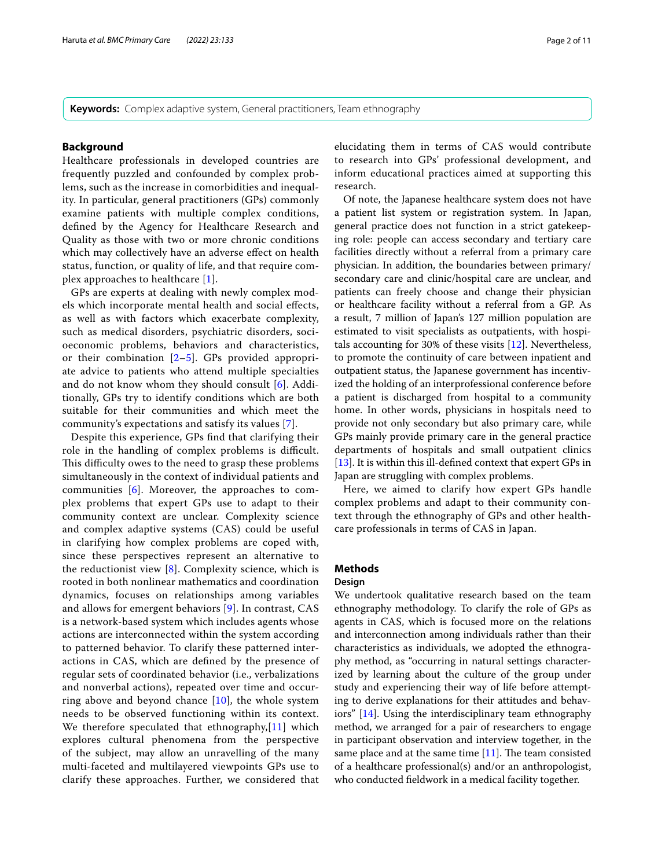**Keywords:** Complex adaptive system, General practitioners, Team ethnography

#### **Background**

Healthcare professionals in developed countries are frequently puzzled and confounded by complex problems, such as the increase in comorbidities and inequality. In particular, general practitioners (GPs) commonly examine patients with multiple complex conditions, defned by the Agency for Healthcare Research and Quality as those with two or more chronic conditions which may collectively have an adverse efect on health status, function, or quality of life, and that require complex approaches to healthcare [[1\]](#page-10-0).

GPs are experts at dealing with newly complex models which incorporate mental health and social efects, as well as with factors which exacerbate complexity, such as medical disorders, psychiatric disorders, socioeconomic problems, behaviors and characteristics, or their combination [\[2](#page-10-1)[–5](#page-10-2)]. GPs provided appropriate advice to patients who attend multiple specialties and do not know whom they should consult [\[6\]](#page-10-3). Additionally, GPs try to identify conditions which are both suitable for their communities and which meet the community's expectations and satisfy its values [[7\]](#page-10-4).

Despite this experience, GPs fnd that clarifying their role in the handling of complex problems is difficult. This difficulty owes to the need to grasp these problems simultaneously in the context of individual patients and communities [[6](#page-10-3)]. Moreover, the approaches to complex problems that expert GPs use to adapt to their community context are unclear. Complexity science and complex adaptive systems (CAS) could be useful in clarifying how complex problems are coped with, since these perspectives represent an alternative to the reductionist view [\[8\]](#page-10-5). Complexity science, which is rooted in both nonlinear mathematics and coordination dynamics, focuses on relationships among variables and allows for emergent behaviors [[9\]](#page-10-6). In contrast, CAS is a network-based system which includes agents whose actions are interconnected within the system according to patterned behavior. To clarify these patterned interactions in CAS, which are defned by the presence of regular sets of coordinated behavior (i.e., verbalizations and nonverbal actions), repeated over time and occurring above and beyond chance  $[10]$  $[10]$ , the whole system needs to be observed functioning within its context. We therefore speculated that ethnography,[\[11](#page-10-8)] which explores cultural phenomena from the perspective of the subject, may allow an unravelling of the many multi-faceted and multilayered viewpoints GPs use to clarify these approaches. Further, we considered that elucidating them in terms of CAS would contribute to research into GPs' professional development, and inform educational practices aimed at supporting this research.

Of note, the Japanese healthcare system does not have a patient list system or registration system. In Japan, general practice does not function in a strict gatekeeping role: people can access secondary and tertiary care facilities directly without a referral from a primary care physician. In addition, the boundaries between primary/ secondary care and clinic/hospital care are unclear, and patients can freely choose and change their physician or healthcare facility without a referral from a GP. As a result, 7 million of Japan's 127 million population are estimated to visit specialists as outpatients, with hospitals accounting for 30% of these visits [\[12](#page-10-9)]. Nevertheless, to promote the continuity of care between inpatient and outpatient status, the Japanese government has incentivized the holding of an interprofessional conference before a patient is discharged from hospital to a community home. In other words, physicians in hospitals need to provide not only secondary but also primary care, while GPs mainly provide primary care in the general practice departments of hospitals and small outpatient clinics [[13\]](#page-10-10). It is within this ill-defned context that expert GPs in Japan are struggling with complex problems.

Here, we aimed to clarify how expert GPs handle complex problems and adapt to their community context through the ethnography of GPs and other healthcare professionals in terms of CAS in Japan.

### **Methods**

#### **Design**

We undertook qualitative research based on the team ethnography methodology. To clarify the role of GPs as agents in CAS, which is focused more on the relations and interconnection among individuals rather than their characteristics as individuals, we adopted the ethnography method, as "occurring in natural settings characterized by learning about the culture of the group under study and experiencing their way of life before attempting to derive explanations for their attitudes and behaviors" [\[14](#page-10-11)]. Using the interdisciplinary team ethnography method, we arranged for a pair of researchers to engage in participant observation and interview together, in the same place and at the same time  $[11]$ . The team consisted of a healthcare professional(s) and/or an anthropologist, who conducted feldwork in a medical facility together.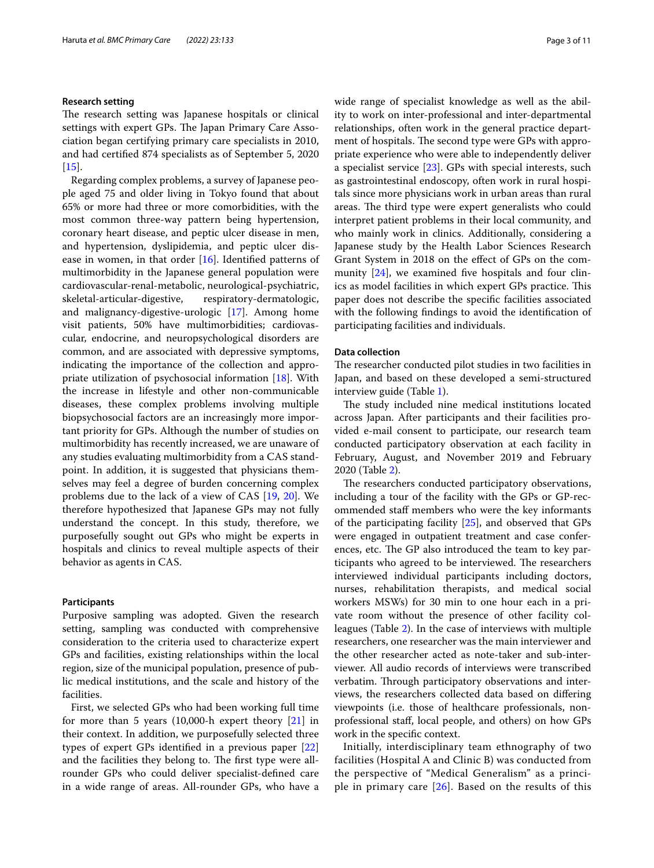#### **Research setting**

The research setting was Japanese hospitals or clinical settings with expert GPs. The Japan Primary Care Association began certifying primary care specialists in 2010, and had certifed 874 specialists as of September 5, 2020  $[15]$  $[15]$ .

Regarding complex problems, a survey of Japanese people aged 75 and older living in Tokyo found that about 65% or more had three or more comorbidities, with the most common three-way pattern being hypertension, coronary heart disease, and peptic ulcer disease in men, and hypertension, dyslipidemia, and peptic ulcer disease in women, in that order [\[16](#page-10-13)]. Identifed patterns of multimorbidity in the Japanese general population were cardiovascular-renal-metabolic, neurological-psychiatric, skeletal-articular-digestive, respiratory-dermatologic, and malignancy-digestive-urologic [\[17](#page-10-14)]. Among home visit patients, 50% have multimorbidities; cardiovascular, endocrine, and neuropsychological disorders are common, and are associated with depressive symptoms, indicating the importance of the collection and appropriate utilization of psychosocial information [\[18](#page-10-15)]. With the increase in lifestyle and other non-communicable diseases, these complex problems involving multiple biopsychosocial factors are an increasingly more important priority for GPs. Although the number of studies on multimorbidity has recently increased, we are unaware of any studies evaluating multimorbidity from a CAS standpoint. In addition, it is suggested that physicians themselves may feel a degree of burden concerning complex problems due to the lack of a view of CAS [[19,](#page-10-16) [20](#page-10-17)]. We therefore hypothesized that Japanese GPs may not fully understand the concept. In this study, therefore, we purposefully sought out GPs who might be experts in hospitals and clinics to reveal multiple aspects of their behavior as agents in CAS.

#### **Participants**

Purposive sampling was adopted. Given the research setting, sampling was conducted with comprehensive consideration to the criteria used to characterize expert GPs and facilities, existing relationships within the local region, size of the municipal population, presence of public medical institutions, and the scale and history of the facilities.

First, we selected GPs who had been working full time for more than 5 years  $(10,000)$ -h expert theory  $[21]$  in their context. In addition, we purposefully selected three types of expert GPs identifed in a previous paper [[22](#page-10-19)] and the facilities they belong to. The first type were allrounder GPs who could deliver specialist-defned care in a wide range of areas. All-rounder GPs, who have a wide range of specialist knowledge as well as the ability to work on inter-professional and inter-departmental relationships, often work in the general practice department of hospitals. The second type were GPs with appropriate experience who were able to independently deliver a specialist service [\[23](#page-10-20)]. GPs with special interests, such as gastrointestinal endoscopy, often work in rural hospitals since more physicians work in urban areas than rural areas. The third type were expert generalists who could interpret patient problems in their local community, and who mainly work in clinics. Additionally, considering a Japanese study by the Health Labor Sciences Research Grant System in 2018 on the efect of GPs on the com-munity [\[24](#page-10-21)], we examined five hospitals and four clinics as model facilities in which expert GPs practice. This paper does not describe the specifc facilities associated with the following fndings to avoid the identifcation of participating facilities and individuals.

#### **Data collection**

The researcher conducted pilot studies in two facilities in Japan, and based on these developed a semi-structured interview guide (Table [1](#page-3-0)).

The study included nine medical institutions located across Japan. After participants and their facilities provided e-mail consent to participate, our research team conducted participatory observation at each facility in February, August, and November 2019 and February 2020 (Table [2\)](#page-4-0).

The researchers conducted participatory observations, including a tour of the facility with the GPs or GP-recommended staf members who were the key informants of the participating facility [[25](#page-10-22)], and observed that GPs were engaged in outpatient treatment and case conferences, etc. The GP also introduced the team to key participants who agreed to be interviewed. The researchers interviewed individual participants including doctors, nurses, rehabilitation therapists, and medical social workers MSWs) for 30 min to one hour each in a private room without the presence of other facility colleagues (Table [2\)](#page-4-0). In the case of interviews with multiple researchers, one researcher was the main interviewer and the other researcher acted as note-taker and sub-interviewer. All audio records of interviews were transcribed verbatim. Through participatory observations and interviews, the researchers collected data based on difering viewpoints (i.e. those of healthcare professionals, nonprofessional staf, local people, and others) on how GPs work in the specifc context.

Initially, interdisciplinary team ethnography of two facilities (Hospital A and Clinic B) was conducted from the perspective of "Medical Generalism" as a principle in primary care  $[26]$  $[26]$  $[26]$ . Based on the results of this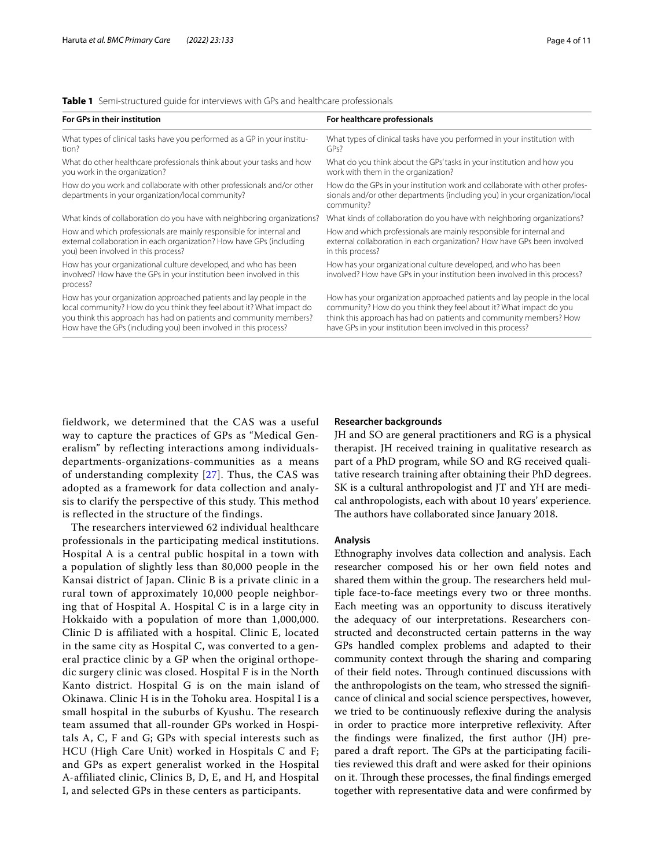<span id="page-3-0"></span>

|  | <b>Table 1</b> Semi-structured quide for interviews with GPs and healthcare professionals |  |  |  |  |  |
|--|-------------------------------------------------------------------------------------------|--|--|--|--|--|
|--|-------------------------------------------------------------------------------------------|--|--|--|--|--|

| For healthcare professionals                                                                                                                                                                                                                                                         |
|--------------------------------------------------------------------------------------------------------------------------------------------------------------------------------------------------------------------------------------------------------------------------------------|
| What types of clinical tasks have you performed in your institution with<br>GPs?                                                                                                                                                                                                     |
| What do you think about the GPs' tasks in your institution and how you<br>work with them in the organization?                                                                                                                                                                        |
| How do the GPs in your institution work and collaborate with other profes-<br>sionals and/or other departments (including you) in your organization/local<br>community?                                                                                                              |
| What kinds of collaboration do you have with neighboring organizations?                                                                                                                                                                                                              |
| How and which professionals are mainly responsible for internal and<br>external collaboration in each organization? How have GPs been involved<br>in this process?                                                                                                                   |
| How has your organizational culture developed, and who has been<br>involved? How have GPs in your institution been involved in this process?                                                                                                                                         |
| How has your organization approached patients and lay people in the local<br>community? How do you think they feel about it? What impact do you<br>think this approach has had on patients and community members? How<br>have GPs in your institution been involved in this process? |
|                                                                                                                                                                                                                                                                                      |

fieldwork, we determined that the CAS was a useful way to capture the practices of GPs as "Medical Generalism" by reflecting interactions among individualsdepartments-organizations-communities as a means of understanding complexity [[27\]](#page-10-24). Thus, the CAS was adopted as a framework for data collection and analysis to clarify the perspective of this study. This method is reflected in the structure of the findings.

The researchers interviewed 62 individual healthcare professionals in the participating medical institutions. Hospital A is a central public hospital in a town with a population of slightly less than 80,000 people in the Kansai district of Japan. Clinic B is a private clinic in a rural town of approximately 10,000 people neighboring that of Hospital A. Hospital C is in a large city in Hokkaido with a population of more than 1,000,000. Clinic D is affiliated with a hospital. Clinic E, located in the same city as Hospital C, was converted to a general practice clinic by a GP when the original orthopedic surgery clinic was closed. Hospital F is in the North Kanto district. Hospital G is on the main island of Okinawa. Clinic H is in the Tohoku area. Hospital I is a small hospital in the suburbs of Kyushu. The research team assumed that all-rounder GPs worked in Hospitals A, C, F and G; GPs with special interests such as HCU (High Care Unit) worked in Hospitals C and F; and GPs as expert generalist worked in the Hospital A-affiliated clinic, Clinics B, D, E, and H, and Hospital I, and selected GPs in these centers as participants.

#### **Researcher backgrounds**

JH and SO are general practitioners and RG is a physical therapist. JH received training in qualitative research as part of a PhD program, while SO and RG received qualitative research training after obtaining their PhD degrees. SK is a cultural anthropologist and JT and YH are medical anthropologists, each with about 10 years' experience. The authors have collaborated since January 2018.

#### **Analysis**

Ethnography involves data collection and analysis. Each researcher composed his or her own feld notes and shared them within the group. The researchers held multiple face-to-face meetings every two or three months. Each meeting was an opportunity to discuss iteratively the adequacy of our interpretations. Researchers constructed and deconstructed certain patterns in the way GPs handled complex problems and adapted to their community context through the sharing and comparing of their field notes. Through continued discussions with the anthropologists on the team, who stressed the signifcance of clinical and social science perspectives, however, we tried to be continuously refexive during the analysis in order to practice more interpretive refexivity. After the fndings were fnalized, the frst author (JH) prepared a draft report. The GPs at the participating facilities reviewed this draft and were asked for their opinions on it. Through these processes, the final findings emerged together with representative data and were confrmed by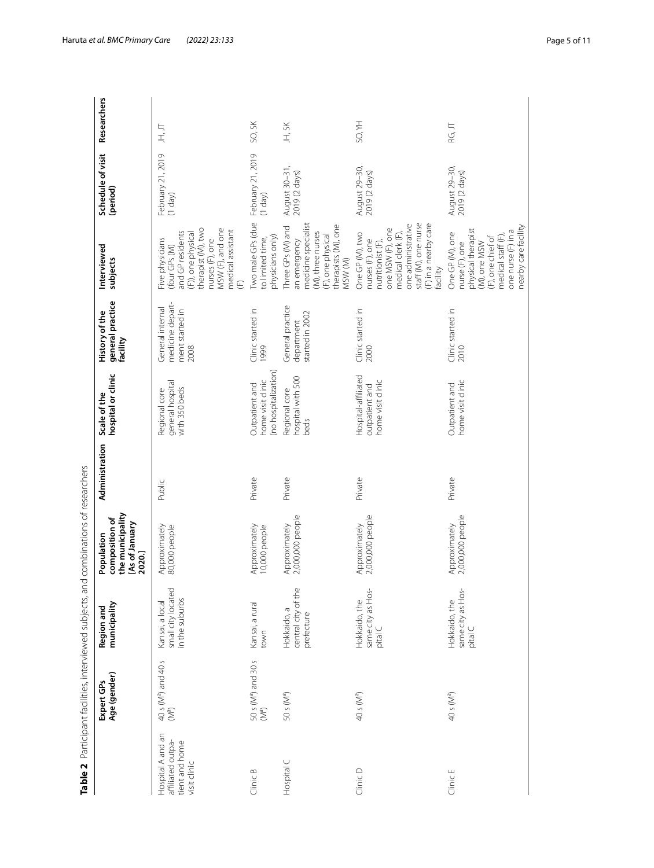<span id="page-4-0"></span>

|                                                                          | Table 2 Participant facilities, interviewed subjects, an |                                                         | id combinations of researchers                                               |                |                                                             |                                                                 |                                                                                                                                                                                |                                |               |
|--------------------------------------------------------------------------|----------------------------------------------------------|---------------------------------------------------------|------------------------------------------------------------------------------|----------------|-------------------------------------------------------------|-----------------------------------------------------------------|--------------------------------------------------------------------------------------------------------------------------------------------------------------------------------|--------------------------------|---------------|
|                                                                          | Age (gender)<br>Expert GPs                               | municipality<br>Region and                              | the municipality<br>composition of<br>[As of January<br>Population<br>2020.] | Administration | hospital or clinic<br>Scale of the                          | general practice<br>History of the<br>facility                  | Interviewed<br>subjects                                                                                                                                                        | Schedule of visit<br>(period)  | Researchers   |
| Hospital A and an<br>affiliated outpa-<br>tient and home<br>visit clinic | 40 s (M <sup>a</sup> ) and 40 s<br>(M <sup>a</sup> )     | small city located<br>in the suburbs<br>Kansai, a local | Approximately<br>80,000 people                                               | Public         | general hospital<br>with 350 beds<br>Regional core          | medicine depart-<br>General internal<br>ment started in<br>2008 | therapist (M), two<br>VISW (F), and one<br>medical assistant<br>and GP residents<br>(F)), one physical<br>nurses (F), one<br>Five physicians<br>(four GPs (M)<br>E             | February 21, 2019<br>$(1$ day) | 只只            |
| Clinic B                                                                 | 50 s (M <sup>a</sup> ) and 30 s<br>$(\mathbb{M}^a)$      | Kansai, a rural<br>town                                 | Approximately<br>10,000 people                                               | Private        | (no hospitalization)<br>home visit clinic<br>Outpatient and | Clinic started in<br>1999                                       | Two male GPs (due<br>physicians only)<br>to limited time,                                                                                                                      | February 21, 2019<br>$(1$ day) | SO, SK        |
| Hospital C                                                               | 50 s (M <sup>a</sup> )                                   | central city of the<br>Hokkaido, a<br>prefecture        | 2,000,000 people<br>Approximately                                            | Private        | hospital with 500<br>Regional core<br>beds                  | General practice<br>started in 2002<br>department               | medicine specialist<br>therapists (M), one<br>Three GPs (M) and<br>(M), three nurses<br>F), one physical<br>an emergency<br>VISW (M)                                           | August 30-31,<br>2019 (2 days) | JH, SK        |
| Clinic D                                                                 | 40 s (M <sup>a</sup> )                                   | same city as Hos-<br>Hokkaido, the<br>pital C           | 2,000,000 people<br>Approximately                                            | Private        | Hospital-affiliated<br>home visit clinic<br>outpatient and  | Clinic started in<br>2000                                       | staff (M), one nurse<br>F) in a nearby care<br>one administrative<br>one MSW (F), one<br>medical clerk (F),<br>One GP (M), two<br>nurses (F), one<br>nutriionst(F)<br>facility | August 29-30,<br>2019 (2 days) | <b>SO, YH</b> |
| Clinic E                                                                 | 40 s (M <sup>a</sup> )                                   | same city as Hos-<br>Hokkaido, the<br>pital C           | 2,000,000 people<br>Approximately                                            | Private        | home visit clinic<br>Outpatient and                         | Clinic started in<br>2010                                       | nearby care facility<br>physical therapist<br>one nurse (F) in a<br>One GP (M), one<br>medical staff (F),<br>F), one chief of<br>nurse (F), one<br>(M), one MSW                | August 29–30,<br>2019 (2 days) | RG, JT        |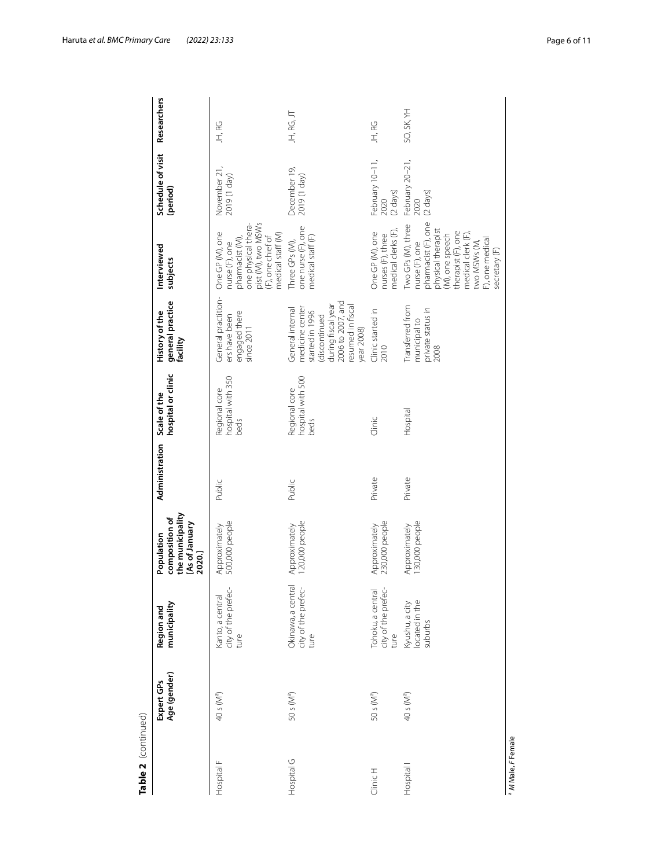| Table 2 (continued)   |                            |                                                   |                                                                              |                             |                                            |                                                                                                                                                      |                                                                                                                                                                                                      |                                               |                    |
|-----------------------|----------------------------|---------------------------------------------------|------------------------------------------------------------------------------|-----------------------------|--------------------------------------------|------------------------------------------------------------------------------------------------------------------------------------------------------|------------------------------------------------------------------------------------------------------------------------------------------------------------------------------------------------------|-----------------------------------------------|--------------------|
|                       | Age (gender)<br>Expert GPs | municipality<br>Region and                        | the municipality<br>composition of<br>[As of January<br>Population<br>2020.] | Administration Scale of the | hospital or clinic                         | general practice<br>History of the<br>facility                                                                                                       | Interviewed<br>subjects                                                                                                                                                                              | Schedule of visit<br>(period)                 | <b>Researchers</b> |
| Hospital F            | 40 s (M <sup>a</sup> )     | city of the prefec-<br>Kanto, a central<br>ture   | 500,000 people<br>Approximately                                              | Public                      | hospital with 350<br>Regional core<br>beds | General practition-<br>engaged there<br>ers have been<br>since $2011$                                                                                | pist (M), two MSWs<br>one physical thera-<br>One GP (M), one<br>medical staff (M)<br>(F), one chief of<br>pharmacist (M),<br>nurse (F), one                                                          | November 21<br>(Vep 1) 6102                   | JH, RG             |
| Hospital G            | 50 s (M <sup>a</sup> )     | Okinawa, a central<br>city of the prefec-<br>ture | 120,000 people<br>Approximately                                              | Public                      | hospital with 500<br>Regional core<br>beds | 2006 to 2007, and<br>resumed in fiscal<br>during fiscal year<br>medicine center<br>General internal<br>started in 1996<br>discontinued<br>year 2008) | one nurse (F), one<br>medical staff (F)<br>Three GPs (M),                                                                                                                                            | December 19,<br>2019 (1 day)                  | JH, RG, JT         |
| Clinic H              | 50 s (M <sup>a</sup> )     | Tohoku, a central<br>city of the prefec-<br>ture  | 230,000 people<br>Approximately                                              | Private                     | Clinic                                     | Clinic started in<br>2010                                                                                                                            | nedical clerks (F),<br>One GP (M), one<br>nurses (F), three                                                                                                                                          | February 10-11,<br>2020<br>(2 days)           | JH, RG             |
| Hospital <sup>1</sup> | 40 s (M <sup>a</sup> )     | Kyushu, a city<br>located in the<br>suburbs       | 130,000 people<br>Approximately                                              | Private                     | Hospital                                   | Transferred from<br>private status in<br>municipal to<br>2008                                                                                        | pharmacist (F), one<br>Two GPs (M), three<br>physical therapist<br>therapist (F), one<br>medical clerk (F),<br>(M), one speech<br>F), one medical<br>two MSWs (M,<br>nurse (F), one<br>secretary (F) | February 20-21,<br>$(2 \text{ days})$<br>2020 | SO, SK, YH         |

Table 2 (continued)

Haruta *et al. BMC Primary Care (2022) 23:133* Page 6 of 11

<sup>a</sup> M Male, F Female *M* Male, *F* Female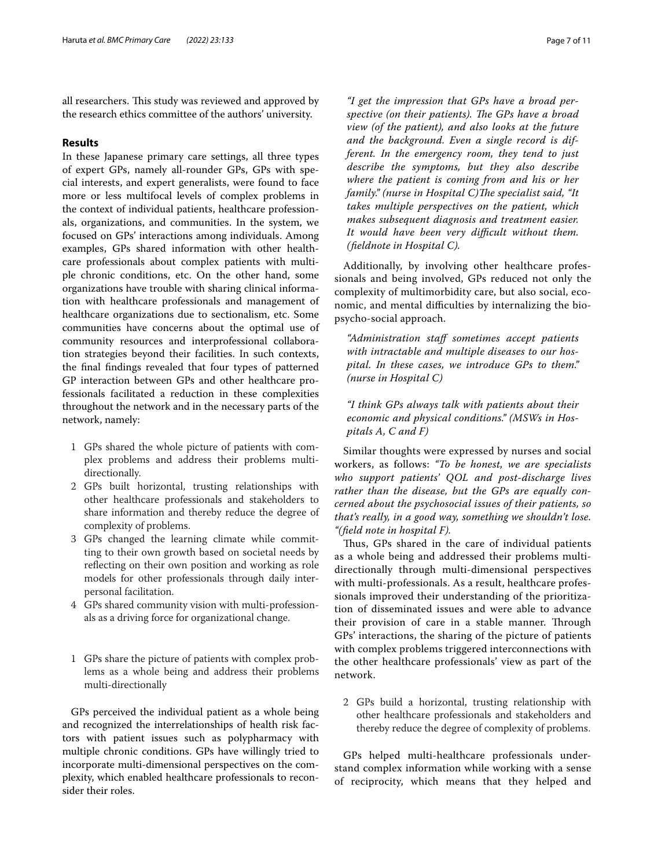all researchers. This study was reviewed and approved by the research ethics committee of the authors' university.

#### **Results**

In these Japanese primary care settings, all three types of expert GPs, namely all-rounder GPs, GPs with special interests, and expert generalists, were found to face more or less multifocal levels of complex problems in the context of individual patients, healthcare professionals, organizations, and communities. In the system, we focused on GPs' interactions among individuals. Among examples, GPs shared information with other healthcare professionals about complex patients with multiple chronic conditions, etc. On the other hand, some organizations have trouble with sharing clinical information with healthcare professionals and management of healthcare organizations due to sectionalism, etc. Some communities have concerns about the optimal use of community resources and interprofessional collaboration strategies beyond their facilities. In such contexts, the fnal fndings revealed that four types of patterned GP interaction between GPs and other healthcare professionals facilitated a reduction in these complexities throughout the network and in the necessary parts of the network, namely:

- 1 GPs shared the whole picture of patients with complex problems and address their problems multidirectionally.
- 2 GPs built horizontal, trusting relationships with other healthcare professionals and stakeholders to share information and thereby reduce the degree of complexity of problems.
- 3 GPs changed the learning climate while committing to their own growth based on societal needs by refecting on their own position and working as role models for other professionals through daily interpersonal facilitation.
- 4 GPs shared community vision with multi-professionals as a driving force for organizational change.
- 1 GPs share the picture of patients with complex problems as a whole being and address their problems multi-directionally

GPs perceived the individual patient as a whole being and recognized the interrelationships of health risk factors with patient issues such as polypharmacy with multiple chronic conditions. GPs have willingly tried to incorporate multi-dimensional perspectives on the complexity, which enabled healthcare professionals to reconsider their roles.

*"I get the impression that GPs have a broad per*spective (on their patients). The GPs have a broad *view (of the patient), and also looks at the future and the background. Even a single record is different. In the emergency room, they tend to just describe the symptoms, but they also describe where the patient is coming from and his or her family.*" (nurse in Hospital C)The specialist said, "It *takes multiple perspectives on the patient, which makes subsequent diagnosis and treatment easier. It would have been very difcult without them. (feldnote in Hospital C).*

Additionally, by involving other healthcare professionals and being involved, GPs reduced not only the complexity of multimorbidity care, but also social, economic, and mental difficulties by internalizing the biopsycho-social approach.

*"Administration staf sometimes accept patients with intractable and multiple diseases to our hospital. In these cases, we introduce GPs to them." (nurse in Hospital C)*

*"I think GPs always talk with patients about their economic and physical conditions." (MSWs in Hospitals A, C and F)*

Similar thoughts were expressed by nurses and social workers, as follows: *"To be honest, we are specialists who support patients' QOL and post-discharge lives rather than the disease, but the GPs are equally concerned about the psychosocial issues of their patients, so that's really, in a good way, something we shouldn't lose. "(feld note in hospital F).*

Thus, GPs shared in the care of individual patients as a whole being and addressed their problems multidirectionally through multi-dimensional perspectives with multi-professionals. As a result, healthcare professionals improved their understanding of the prioritization of disseminated issues and were able to advance their provision of care in a stable manner. Through GPs' interactions, the sharing of the picture of patients with complex problems triggered interconnections with the other healthcare professionals' view as part of the network.

2 GPs build a horizontal, trusting relationship with other healthcare professionals and stakeholders and thereby reduce the degree of complexity of problems.

GPs helped multi-healthcare professionals understand complex information while working with a sense of reciprocity, which means that they helped and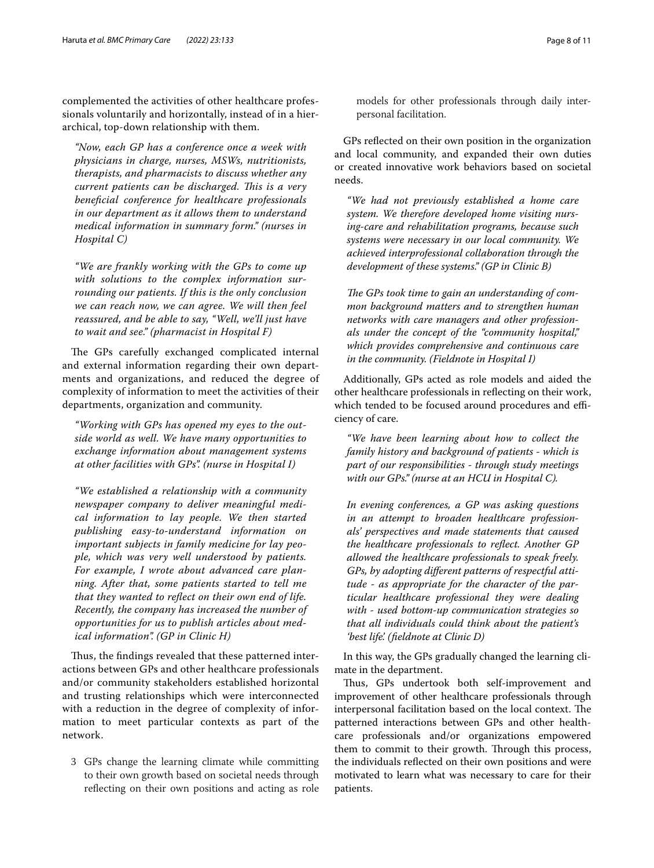complemented the activities of other healthcare professionals voluntarily and horizontally, instead of in a hierarchical, top-down relationship with them.

*"Now, each GP has a conference once a week with physicians in charge, nurses, MSWs, nutritionists, therapists, and pharmacists to discuss whether any current patients can be discharged. Tis is a very benefcial conference for healthcare professionals in our department as it allows them to understand medical information in summary form." (nurses in Hospital C)*

*"We are frankly working with the GPs to come up with solutions to the complex information surrounding our patients. If this is the only conclusion we can reach now, we can agree. We will then feel reassured, and be able to say, "Well, we'll just have to wait and see." (pharmacist in Hospital F)*

The GPs carefully exchanged complicated internal and external information regarding their own departments and organizations, and reduced the degree of complexity of information to meet the activities of their departments, organization and community.

*"Working with GPs has opened my eyes to the outside world as well. We have many opportunities to exchange information about management systems at other facilities with GPs". (nurse in Hospital I)*

*"We established a relationship with a community newspaper company to deliver meaningful medical information to lay people. We then started publishing easy-to-understand information on important subjects in family medicine for lay people, which was very well understood by patients. For example, I wrote about advanced care planning. After that, some patients started to tell me that they wanted to refect on their own end of life. Recently, the company has increased the number of opportunities for us to publish articles about medical information". (GP in Clinic H)*

Thus, the findings revealed that these patterned interactions between GPs and other healthcare professionals and/or community stakeholders established horizontal and trusting relationships which were interconnected with a reduction in the degree of complexity of information to meet particular contexts as part of the network.

3 GPs change the learning climate while committing to their own growth based on societal needs through refecting on their own positions and acting as role models for other professionals through daily interpersonal facilitation.

GPs refected on their own position in the organization and local community, and expanded their own duties or created innovative work behaviors based on societal needs.

*"We had not previously established a home care system. We therefore developed home visiting nursing-care and rehabilitation programs, because such systems were necessary in our local community. We achieved interprofessional collaboration through the development of these systems." (GP in Clinic B)*

The GPs took time to gain an understanding of com*mon background matters and to strengthen human networks with care managers and other professionals under the concept of the "community hospital," which provides comprehensive and continuous care in the community. (Fieldnote in Hospital I)*

Additionally, GPs acted as role models and aided the other healthcare professionals in refecting on their work, which tended to be focused around procedures and efficiency of care.

*"We have been learning about how to collect the family history and background of patients - which is part of our responsibilities - through study meetings with our GPs." (nurse at an HCU in Hospital C).*

*In evening conferences, a GP was asking questions in an attempt to broaden healthcare professionals' perspectives and made statements that caused the healthcare professionals to refect. Another GP allowed the healthcare professionals to speak freely. GPs, by adopting diferent patterns of respectful attitude - as appropriate for the character of the particular healthcare professional they were dealing with - used bottom-up communication strategies so that all individuals could think about the patient's 'best life'. (feldnote at Clinic D)*

In this way, the GPs gradually changed the learning climate in the department.

Thus, GPs undertook both self-improvement and improvement of other healthcare professionals through interpersonal facilitation based on the local context. The patterned interactions between GPs and other healthcare professionals and/or organizations empowered them to commit to their growth. Through this process, the individuals refected on their own positions and were motivated to learn what was necessary to care for their patients.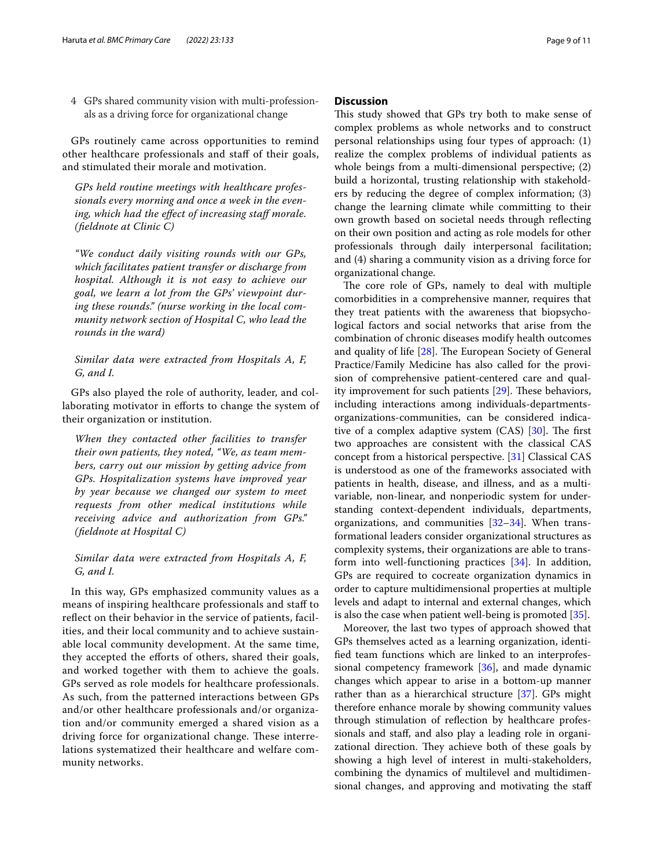4 GPs shared community vision with multi-professionals as a driving force for organizational change

GPs routinely came across opportunities to remind other healthcare professionals and staf of their goals, and stimulated their morale and motivation.

*GPs held routine meetings with healthcare professionals every morning and once a week in the even*ing, which had the effect of increasing staff morale. *(feldnote at Clinic C)*

*"We conduct daily visiting rounds with our GPs, which facilitates patient transfer or discharge from hospital. Although it is not easy to achieve our goal, we learn a lot from the GPs' viewpoint during these rounds." (nurse working in the local community network section of Hospital C, who lead the rounds in the ward)*

#### *Similar data were extracted from Hospitals A, F, G, and I.*

GPs also played the role of authority, leader, and collaborating motivator in efforts to change the system of their organization or institution.

*When they contacted other facilities to transfer their own patients, they noted, "We, as team members, carry out our mission by getting advice from GPs. Hospitalization systems have improved year by year because we changed our system to meet requests from other medical institutions while receiving advice and authorization from GPs." (feldnote at Hospital C)*

#### *Similar data were extracted from Hospitals A, F, G, and I.*

In this way, GPs emphasized community values as a means of inspiring healthcare professionals and staf to reflect on their behavior in the service of patients, facilities, and their local community and to achieve sustainable local community development. At the same time, they accepted the efforts of others, shared their goals, and worked together with them to achieve the goals. GPs served as role models for healthcare professionals. As such, from the patterned interactions between GPs and/or other healthcare professionals and/or organization and/or community emerged a shared vision as a driving force for organizational change. These interrelations systematized their healthcare and welfare community networks.

#### **Discussion**

This study showed that GPs try both to make sense of complex problems as whole networks and to construct personal relationships using four types of approach: (1) realize the complex problems of individual patients as whole beings from a multi-dimensional perspective; (2) build a horizontal, trusting relationship with stakeholders by reducing the degree of complex information; (3) change the learning climate while committing to their own growth based on societal needs through refecting on their own position and acting as role models for other professionals through daily interpersonal facilitation; and (4) sharing a community vision as a driving force for organizational change.

The core role of GPs, namely to deal with multiple comorbidities in a comprehensive manner, requires that they treat patients with the awareness that biopsychological factors and social networks that arise from the combination of chronic diseases modify health outcomes and quality of life  $[28]$  $[28]$ . The European Society of General Practice/Family Medicine has also called for the provision of comprehensive patient-centered care and quality improvement for such patients  $[29]$  $[29]$ . These behaviors, including interactions among individuals-departmentsorganizations-communities, can be considered indicative of a complex adaptive system  $(CAS)$  [\[30](#page-10-27)]. The first two approaches are consistent with the classical CAS concept from a historical perspective. [\[31](#page-10-28)] Classical CAS is understood as one of the frameworks associated with patients in health, disease, and illness, and as a multivariable, non-linear, and nonperiodic system for understanding context-dependent individuals, departments, organizations, and communities  $[32-34]$  $[32-34]$ . When transformational leaders consider organizational structures as complexity systems, their organizations are able to transform into well-functioning practices [\[34](#page-10-30)]. In addition, GPs are required to cocreate organization dynamics in order to capture multidimensional properties at multiple levels and adapt to internal and external changes, which is also the case when patient well-being is promoted [\[35\]](#page-10-31).

Moreover, the last two types of approach showed that GPs themselves acted as a learning organization, identifed team functions which are linked to an interprofessional competency framework [[36](#page-10-32)], and made dynamic changes which appear to arise in a bottom-up manner rather than as a hierarchical structure [\[37](#page-10-33)]. GPs might therefore enhance morale by showing community values through stimulation of refection by healthcare professionals and staf, and also play a leading role in organizational direction. They achieve both of these goals by showing a high level of interest in multi-stakeholders, combining the dynamics of multilevel and multidimensional changes, and approving and motivating the staf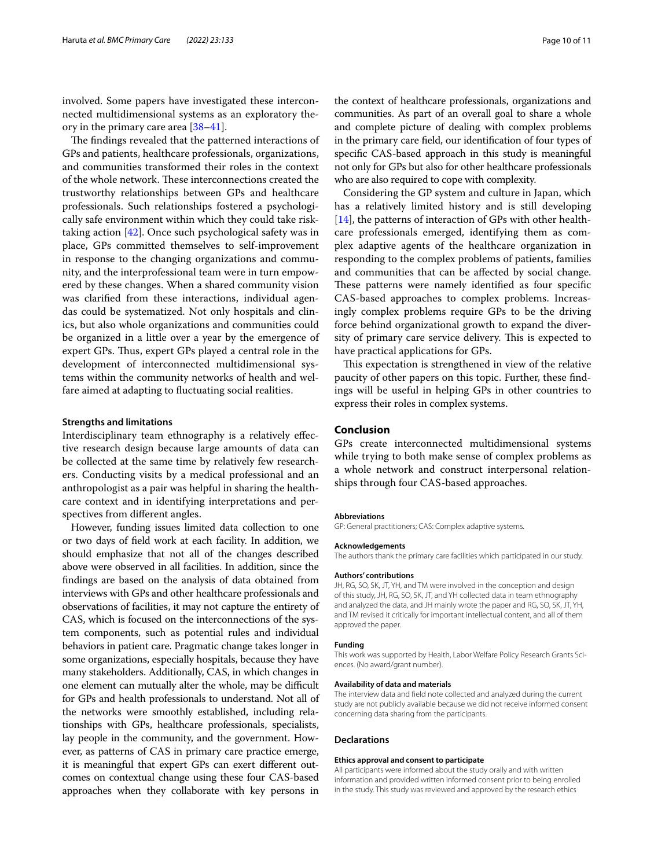involved. Some papers have investigated these interconnected multidimensional systems as an exploratory theory in the primary care area [[38–](#page-10-34)[41](#page-10-35)].

The findings revealed that the patterned interactions of GPs and patients, healthcare professionals, organizations, and communities transformed their roles in the context of the whole network. These interconnections created the trustworthy relationships between GPs and healthcare professionals. Such relationships fostered a psychologically safe environment within which they could take risktaking action [\[42](#page-10-36)]. Once such psychological safety was in place, GPs committed themselves to self-improvement in response to the changing organizations and community, and the interprofessional team were in turn empowered by these changes. When a shared community vision was clarifed from these interactions, individual agendas could be systematized. Not only hospitals and clinics, but also whole organizations and communities could be organized in a little over a year by the emergence of expert GPs. Thus, expert GPs played a central role in the development of interconnected multidimensional systems within the community networks of health and welfare aimed at adapting to fuctuating social realities.

#### **Strengths and limitations**

Interdisciplinary team ethnography is a relatively efective research design because large amounts of data can be collected at the same time by relatively few researchers. Conducting visits by a medical professional and an anthropologist as a pair was helpful in sharing the healthcare context and in identifying interpretations and perspectives from diferent angles.

However, funding issues limited data collection to one or two days of feld work at each facility. In addition, we should emphasize that not all of the changes described above were observed in all facilities. In addition, since the fndings are based on the analysis of data obtained from interviews with GPs and other healthcare professionals and observations of facilities, it may not capture the entirety of CAS, which is focused on the interconnections of the system components, such as potential rules and individual behaviors in patient care. Pragmatic change takes longer in some organizations, especially hospitals, because they have many stakeholders. Additionally, CAS, in which changes in one element can mutually alter the whole, may be difficult for GPs and health professionals to understand. Not all of the networks were smoothly established, including relationships with GPs, healthcare professionals, specialists, lay people in the community, and the government. However, as patterns of CAS in primary care practice emerge, it is meaningful that expert GPs can exert diferent outcomes on contextual change using these four CAS-based approaches when they collaborate with key persons in

the context of healthcare professionals, organizations and communities. As part of an overall goal to share a whole and complete picture of dealing with complex problems in the primary care feld, our identifcation of four types of specifc CAS-based approach in this study is meaningful not only for GPs but also for other healthcare professionals who are also required to cope with complexity.

Considering the GP system and culture in Japan, which has a relatively limited history and is still developing [[14\]](#page-10-11), the patterns of interaction of GPs with other healthcare professionals emerged, identifying them as complex adaptive agents of the healthcare organization in responding to the complex problems of patients, families and communities that can be afected by social change. These patterns were namely identified as four specific CAS-based approaches to complex problems. Increasingly complex problems require GPs to be the driving force behind organizational growth to expand the diversity of primary care service delivery. This is expected to have practical applications for GPs.

This expectation is strengthened in view of the relative paucity of other papers on this topic. Further, these fndings will be useful in helping GPs in other countries to express their roles in complex systems.

#### **Conclusion**

GPs create interconnected multidimensional systems while trying to both make sense of complex problems as a whole network and construct interpersonal relationships through four CAS-based approaches.

#### **Abbreviations**

GP: General practitioners; CAS: Complex adaptive systems.

#### **Acknowledgements**

The authors thank the primary care facilities which participated in our study.

#### **Authors' contributions**

JH, RG, SO, SK, JT, YH, and TM were involved in the conception and design of this study, JH, RG, SO, SK, JT, and YH collected data in team ethnography and analyzed the data, and JH mainly wrote the paper and RG, SO, SK, JT, YH, and TM revised it critically for important intellectual content, and all of them approved the paper.

#### **Funding**

This work was supported by Health, Labor Welfare Policy Research Grants Sciences. (No award/grant number).

#### **Availability of data and materials**

The interview data and feld note collected and analyzed during the current study are not publicly available because we did not receive informed consent concerning data sharing from the participants.

#### **Declarations**

#### **Ethics approval and consent to participate**

All participants were informed about the study orally and with written information and provided written informed consent prior to being enrolled in the study. This study was reviewed and approved by the research ethics